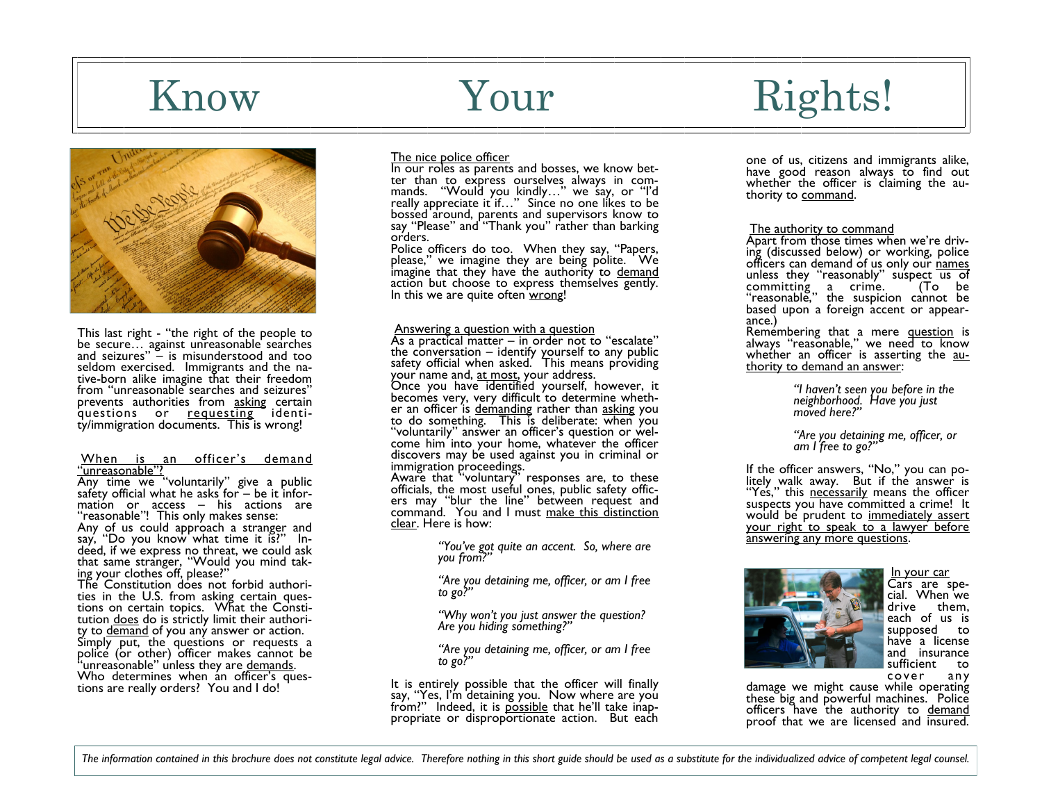

This last right - "the right of the people to be secure… against unreasonable searches and seizures" – is misunderstood and too seldom exercised. Immigrants and the native-born alike imagine that their freedom from "unreasonable searches and seizures" prevents authorities from asking certain questions or requesting identity/immigration documents. This is wrong!

#### When is an officer's demand "unreasonable"?

Any time we "voluntarily" give a public saféty official what he asks' for – be it information or access – his actions are "reasonable"! This only makes sense: Any of us could approach a stranger and say, "Do you know what time it is?" Indeed, if we express no threat, we could ask that same stranger, "Would you mind taking your clothes off, please?" The Constitution does not forbid authorities in the U.S. from asking certain questions on certain topics. What the Constitution does do is strictly limit their authority to demand of you any answer or action. Simply put, the questions or requests a police (or other) officer makes cannot be 'unreasonable" unless they are demands.

Who determines when an officer's questions are really orders? You and I do!

### The nice police officer

In our roles as parents and bosses, we know better than to express ourselves always in commands. "Would you kindly…" we say, or "I'd really appreciate it if…" Since no one likes to be bossed around, parents and supervisors know to say "Please" and "Thank you" rather than barking orders.

Police officers do too. When they say, "Papers, please," we imagine they are being polite. We imagine that they have the authority to demand action but choose to express themselves gently. In this we are quite often wrong!

#### Answering a question with a question

As a practical matter – in order not to "escalate" the conversation – identify yourself to any public safety official when asked. This means providing your name and, <u>at most</u>, your address.

Once you have identified yourself, however, it becomes very, very difficult to determine whether an officer is demanding rather than asking you to do something. This is deliberate: when you "voluntarily" answer an officer's question or welcome him into your home, whatever the officer discovers may be used against you in criminal or immigration proceedings.

Aware that "voluntary" responses are, to these officials, the most useful ones, public safety officers may "blur the line" between request and command. You and I must <u>make this distinction</u> clear. Here is how:

> *"You've got quite an accent. So, where are you from?"*

*"Are you detaining me, officer, or am I free to go?"*

*"Why won't you just answer the question? Are you hiding something?"*

*"Are you detaining me, officer, or am I free to go?"*

It is entirely possible that the officer will finally say, "Yes, I'm detaining you. Now where are you from?" Indeed, it is possible that he'll take inappropriate or disproportionate action. But each

# Know Your Rights!

one of us, citizens and immigrants alike, have good reason always to find out whether the officer is claiming the authority to command.

#### The authority to command

Apart from those times when we're driving (discussed below) or working, police officers can demand of us only our names unless they "reasonably" suspect us of committing a crime. (To be "reasonable," the suspicion cannot be based upon a foreign accent or appearance.)

Remembering that a mere question is always "reasonable," we need to know whether an officer is asserting the authority to demand an answer:

> *"I haven't seen you before in the neighborhood. Have you just moved here?"*

*"Are you detaining me, officer, or am I free to go?"*

If the officer answers, "No," you can politely walk away. But if the answer is "Yes," this necessarily means the officer suspects you have committed a crime! It would be prudent to immediately assert your right to speak to a lawyer before answering any more questions.



In your car Cars are special. When we drive them, each of us is supposed to have a license and insurance sufficient to cover any

damage we might cause while operating these big and powerful machines. Police officers have the authority to demand proof that we are licensed and insured.